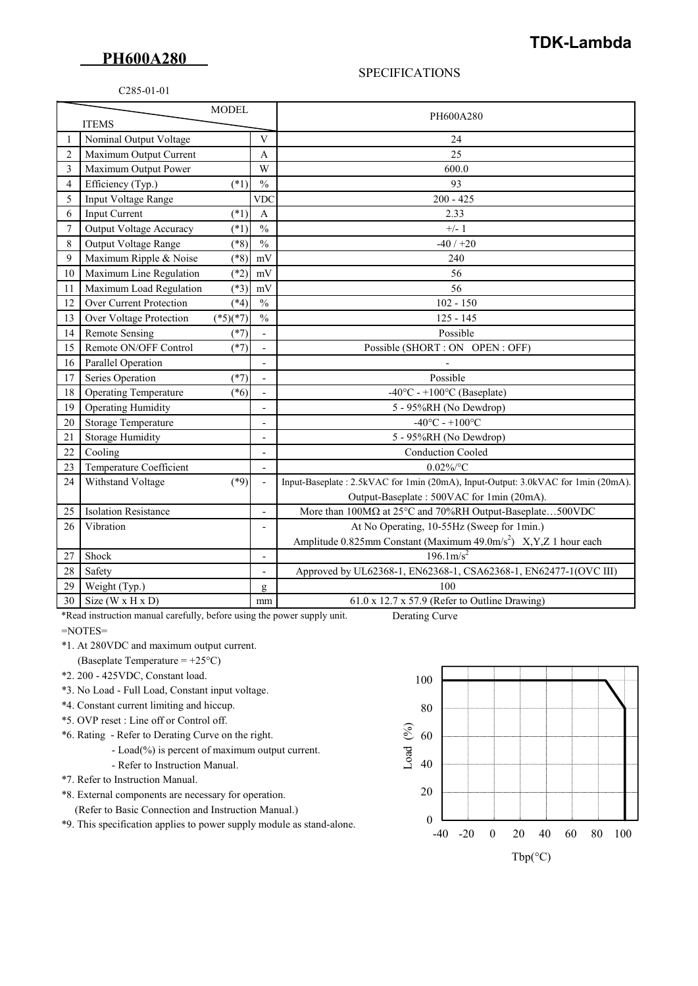## **PH600A280**

## SPECIFICATIONS

## C285-01-01

| <b>MODEL</b>   |                                |            |                              | PH600A280                                                                        |
|----------------|--------------------------------|------------|------------------------------|----------------------------------------------------------------------------------|
| <b>ITEMS</b>   |                                |            |                              |                                                                                  |
|                | Nominal Output Voltage         |            | $\mathbf{V}$                 | 24                                                                               |
| $\overline{2}$ | Maximum Output Current         |            | A                            | 25                                                                               |
| 3              | Maximum Output Power           |            | W                            | 600.0                                                                            |
| $\overline{4}$ | Efficiency (Typ.)              | $(*1)$     | $\frac{0}{0}$                | 93                                                                               |
| 5              | Input Voltage Range            |            | <b>VDC</b>                   | $200 - 425$                                                                      |
| 6              | Input Current                  | $(*1)$     | $\boldsymbol{A}$             | 2.33                                                                             |
| $\overline{7}$ | Output Voltage Accuracy        | $(*1)$     | $\frac{0}{0}$                | $+/-1$                                                                           |
| 8              | Output Voltage Range           | $(*8)$     | $\frac{0}{0}$                | $-40/+20$                                                                        |
| 9              | Maximum Ripple & Noise         | $(*8)$     | mV                           | 240                                                                              |
| 10             | Maximum Line Regulation        | $(*2)$     | mV                           | 56                                                                               |
| 11             | Maximum Load Regulation        | $(*3)$     | mV                           | 56                                                                               |
| 12             | Over Current Protection        | $(*4)$     | $\frac{0}{0}$                | $102 - 150$                                                                      |
| 13             | Over Voltage Protection        | $(*5)(*7)$ | $\frac{0}{0}$                | $125 - 145$                                                                      |
| 14             | <b>Remote Sensing</b>          | $(*7)$     | $\overline{\phantom{a}}$     | Possible                                                                         |
| 15             | Remote ON/OFF Control          | $(*7)$     |                              | Possible (SHORT : ON OPEN : OFF)                                                 |
| 16             | Parallel Operation             |            | $\overline{\phantom{a}}$     |                                                                                  |
| 17             | Series Operation               | $(*7)$     | $\overline{\phantom{a}}$     | Possible                                                                         |
| 18             | <b>Operating Temperature</b>   | $(*6)$     |                              | -40°C - +100°C (Baseplate)                                                       |
| 19             | <b>Operating Humidity</b>      |            | $\overline{\phantom{a}}$     | 5 - 95%RH (No Dewdrop)                                                           |
| 20             | Storage Temperature            |            | $\overline{\phantom{a}}$     | $-40^{\circ}$ C - $+100^{\circ}$ C                                               |
| 21             | <b>Storage Humidity</b>        |            | $\overline{a}$               | 5 - 95%RH (No Dewdrop)                                                           |
| 22             | Cooling                        |            | $\blacksquare$               | <b>Conduction Cooled</b>                                                         |
| 23             | Temperature Coefficient        |            | $\overline{a}$               | $0.02\%$ /°C                                                                     |
| 24             | Withstand Voltage              | $(*9)$     | $\overline{\phantom{a}}$     | Input-Baseplate: 2.5kVAC for 1min (20mA), Input-Output: 3.0kVAC for 1min (20mA). |
|                |                                |            |                              | Output-Baseplate: 500VAC for 1min (20mA).                                        |
| 25             | <b>Isolation Resistance</b>    |            | $\blacksquare$               | More than $100M\Omega$ at $25^{\circ}$ C and $70\%$ RH Output-Baseplate500VDC    |
| 26             | Vibration                      |            |                              | At No Operating, 10-55Hz (Sweep for 1min.)                                       |
|                |                                |            |                              | Amplitude 0.825mm Constant (Maximum 49.0m/s <sup>2</sup> ) X, Y, Z 1 hour each   |
| 27             | Shock                          |            | $\qquad \qquad \blacksquare$ | $196.1 \text{m/s}^2$                                                             |
| 28             | Safety                         |            | $\overline{\phantom{a}}$     | Approved by UL62368-1, EN62368-1, CSA62368-1, EN62477-1(OVC III)                 |
| 29             | Weight (Typ.)                  |            | g                            | 100                                                                              |
| 30             | Size ( $W \times H \times D$ ) |            | mm                           | 61.0 x 12.7 x 57.9 (Refer to Outline Drawing)                                    |

 \*Read instruction manual carefully, before using the power supply unit. Derating Curve =NOTES=

\*1. At 280VDC and maximum output current.

- (Baseplate Temperature = +25°C)
- \*2. 200 425VDC, Constant load.
- \*3. No Load Full Load, Constant input voltage.
- \*4. Constant current limiting and hiccup.
- \*5. OVP reset : Line off or Control off.
- \*6. Rating Refer to Derating Curve on the right.
	- Load(%) is percent of maximum output current.
	- Refer to Instruction Manual.
- \*7. Refer to Instruction Manual.
- \*8. External components are necessary for operation.
	- (Refer to Basic Connection and Instruction Manual.)
- \*9. This specification applies to power supply module as stand-alone.